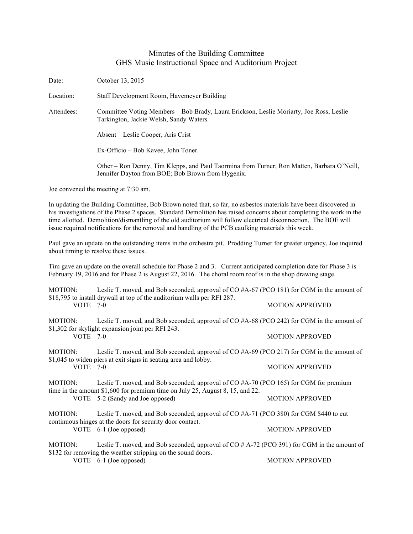## Minutes of the Building Committee GHS Music Instructional Space and Auditorium Project

Date: October 13, 2015 Location: Staff Development Room, Havemeyer Building Attendees: Committee Voting Members – Bob Brady, Laura Erickson, Leslie Moriarty, Joe Ross, Leslie Tarkington, Jackie Welsh, Sandy Waters. Absent – Leslie Cooper, Aris Crist Ex-Officio – Bob Kavee, John Toner. Other – Ron Denny, Tim Klepps, and Paul Taormina from Turner; Ron Matten, Barbara O'Neill, Jennifer Dayton from BOE; Bob Brown from Hygenix. Joe convened the meeting at 7:30 am. In updating the Building Committee, Bob Brown noted that, so far, no asbestos materials have been discovered in his investigations of the Phase 2 spaces. Standard Demolition has raised concerns about completing the work in the time allotted. Demolition/dismantling of the old auditorium will follow electrical disconnection. The BOE will issue required notifications for the removal and handling of the PCB caulking materials this week. Paul gave an update on the outstanding items in the orchestra pit. Prodding Turner for greater urgency, Joe inquired about timing to resolve these issues. Tim gave an update on the overall schedule for Phase 2 and 3. Current anticipated completion date for Phase 3 is February 19, 2016 and for Phase 2 is August 22, 2016. The choral room roof is in the shop drawing stage. MOTION: Leslie T. moved, and Bob seconded, approval of CO #A-67 (PCO 181) for CGM in the amount of \$18,795 to install drywall at top of the auditorium walls per RFI 287. VOTE 7-0 MOTION APPROVED MOTION: Leslie T. moved, and Bob seconded, approval of CO #A-68 (PCO 242) for CGM in the amount of \$1,302 for skylight expansion joint per RFI 243. VOTE 7-0 MOTION APPROVED MOTION: Leslie T. moved, and Bob seconded, approval of CO #A-69 (PCO 217) for CGM in the amount of \$1,045 to widen piers at exit signs in seating area and lobby. VOTE 7-0 MOTION APPROVED MOTION: Leslie T. moved, and Bob seconded, approval of CO #A-70 (PCO 165) for CGM for premium time in the amount \$1,600 for premium time on July 25, August 8, 15, and 22. VOTE 5-2 (Sandy and Joe opposed) MOTION APPROVED MOTION: Leslie T. moved, and Bob seconded, approval of CO #A-71 (PCO 380) for CGM \$440 to cut continuous hinges at the doors for security door contact. VOTE 6-1 (Joe opposed) MOTION APPROVED MOTION: Leslie T. moved, and Bob seconded, approval of CO # A-72 (PCO 391) for CGM in the amount of \$132 for removing the weather stripping on the sound doors. VOTE 6-1 (Joe opposed) MOTION APPROVED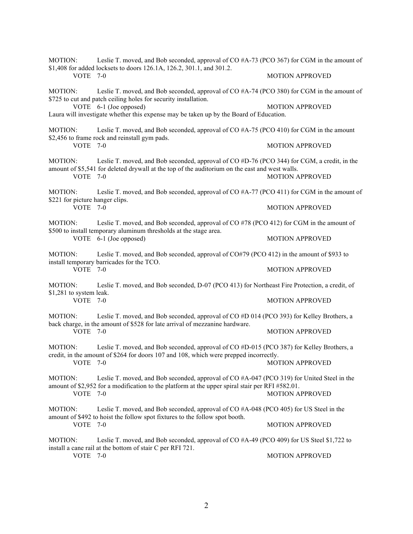| MOTION:                                                                 | Leslie T. moved, and Bob seconded, approval of CO #A-73 (PCO 367) for CGM in the amount of<br>\$1,408 for added locksets to doors 126.1A, 126.2, 301.1, and 301.2.                                                                                                                |                        |
|-------------------------------------------------------------------------|-----------------------------------------------------------------------------------------------------------------------------------------------------------------------------------------------------------------------------------------------------------------------------------|------------------------|
| <b>VOTE 7-0</b>                                                         |                                                                                                                                                                                                                                                                                   | <b>MOTION APPROVED</b> |
| MOTION:                                                                 | Leslie T. moved, and Bob seconded, approval of CO #A-74 (PCO 380) for CGM in the amount of<br>\$725 to cut and patch ceiling holes for security installation.<br>VOTE 6-1 (Joe opposed)<br>Laura will investigate whether this expense may be taken up by the Board of Education. |                        |
|                                                                         |                                                                                                                                                                                                                                                                                   | <b>MOTION APPROVED</b> |
| MOTION:<br><b>VOTE 7-0</b>                                              | Leslie T. moved, and Bob seconded, approval of CO #A-75 (PCO 410) for CGM in the amount<br>\$2,456 to frame rock and reinstall gym pads.                                                                                                                                          |                        |
|                                                                         |                                                                                                                                                                                                                                                                                   | <b>MOTION APPROVED</b> |
| MOTION:<br>VOTE 7-0                                                     | Leslie T. moved, and Bob seconded, approval of CO #D-76 (PCO 344) for CGM, a credit, in the<br>amount of \$5,541 for deleted drywall at the top of the auditorium on the east and west walls.                                                                                     | <b>MOTION APPROVED</b> |
| MOTION:<br>\$221 for picture hanger clips.<br>VOTE 7-0                  | Leslie T. moved, and Bob seconded, approval of CO $#A-77$ (PCO 411) for CGM in the amount of                                                                                                                                                                                      |                        |
|                                                                         |                                                                                                                                                                                                                                                                                   | <b>MOTION APPROVED</b> |
| MOTION:                                                                 | Leslie T. moved, and Bob seconded, approval of CO #78 (PCO 412) for CGM in the amount of<br>\$500 to install temporary aluminum thresholds at the stage area.<br>VOTE 6-1 (Joe opposed)                                                                                           |                        |
|                                                                         |                                                                                                                                                                                                                                                                                   | <b>MOTION APPROVED</b> |
| MOTION:<br>install temporary barricades for the TCO.<br><b>VOTE 7-0</b> | Leslie T. moved, and Bob seconded, approval of CO#79 (PCO 412) in the amount of \$933 to                                                                                                                                                                                          |                        |
|                                                                         |                                                                                                                                                                                                                                                                                   | <b>MOTION APPROVED</b> |
| MOTION:<br>\$1,281 to system leak.<br>VOTE 7-0                          | Leslie T. moved, and Bob seconded, D-07 (PCO 413) for Northeast Fire Protection, a credit, of                                                                                                                                                                                     |                        |
|                                                                         |                                                                                                                                                                                                                                                                                   | <b>MOTION APPROVED</b> |
| MOTION:<br>VOTE 7-0                                                     | Leslie T. moved, and Bob seconded, approval of CO #D 014 (PCO 393) for Kelley Brothers, a<br>back charge, in the amount of \$528 for late arrival of mezzanine hardware.                                                                                                          |                        |
|                                                                         |                                                                                                                                                                                                                                                                                   | <b>MOTION APPROVED</b> |
| MOTION:<br>VOTE 7-0                                                     | Leslie T. moved, and Bob seconded, approval of CO #D-015 (PCO 387) for Kelley Brothers, a<br>credit, in the amount of \$264 for doors 107 and 108, which were prepped incorrectly.                                                                                                |                        |
|                                                                         |                                                                                                                                                                                                                                                                                   | <b>MOTION APPROVED</b> |
| MOTION:                                                                 | Leslie T. moved, and Bob seconded, approval of CO #A-047 (PCO 319) for United Steel in the<br>amount of \$2,952 for a modification to the platform at the upper spiral stair per RFI #582.01.                                                                                     |                        |
| VOTE 7-0                                                                |                                                                                                                                                                                                                                                                                   | <b>MOTION APPROVED</b> |
| MOTION:<br>VOTE 7-0                                                     | Leslie T. moved, and Bob seconded, approval of CO #A-048 (PCO 405) for US Steel in the<br>amount of \$492 to hoist the follow spot fixtures to the follow spot booth.                                                                                                             |                        |
|                                                                         |                                                                                                                                                                                                                                                                                   | <b>MOTION APPROVED</b> |
| MOTION:<br>VOTE 7-0                                                     | Leslie T. moved, and Bob seconded, approval of CO $#A-49$ (PCO 409) for US Steel \$1,722 to<br>install a cane rail at the bottom of stair C per RFI 721.                                                                                                                          |                        |
|                                                                         |                                                                                                                                                                                                                                                                                   | <b>MOTION APPROVED</b> |